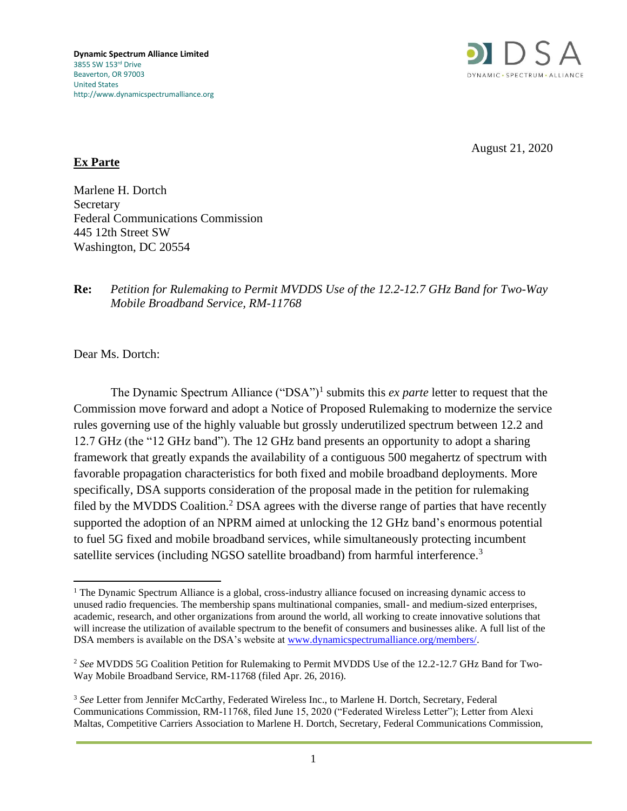

August 21, 2020

## **Ex Parte**

Marlene H. Dortch **Secretary** Federal Communications Commission 445 12th Street SW Washington, DC 20554

## **Re:** *Petition for Rulemaking to Permit MVDDS Use of the 12.2-12.7 GHz Band for Two-Way Mobile Broadband Service, RM-11768*

Dear Ms. Dortch:

The Dynamic Spectrum Alliance ("DSA")<sup>1</sup> submits this *ex parte* letter to request that the Commission move forward and adopt a Notice of Proposed Rulemaking to modernize the service rules governing use of the highly valuable but grossly underutilized spectrum between 12.2 and 12.7 GHz (the "12 GHz band"). The 12 GHz band presents an opportunity to adopt a sharing framework that greatly expands the availability of a contiguous 500 megahertz of spectrum with favorable propagation characteristics for both fixed and mobile broadband deployments. More specifically, DSA supports consideration of the proposal made in the petition for rulemaking filed by the MVDDS Coalition.<sup>2</sup> DSA agrees with the diverse range of parties that have recently supported the adoption of an NPRM aimed at unlocking the 12 GHz band's enormous potential to fuel 5G fixed and mobile broadband services, while simultaneously protecting incumbent satellite services (including NGSO satellite broadband) from harmful interference.<sup>3</sup>

<sup>1</sup> The Dynamic Spectrum Alliance is a global, cross-industry alliance focused on increasing dynamic access to unused radio frequencies. The membership spans multinational companies, small- and medium-sized enterprises, academic, research, and other organizations from around the world, all working to create innovative solutions that will increase the utilization of available spectrum to the benefit of consumers and businesses alike. A full list of the DSA members is available on the DSA's website at [www.dynamicspectrumalliance.org/members/.](http://www.dynamicspectrumalliance.org/members/)

<sup>2</sup> *See* MVDDS 5G Coalition Petition for Rulemaking to Permit MVDDS Use of the 12.2-12.7 GHz Band for Two-Way Mobile Broadband Service, RM-11768 (filed Apr. 26, 2016).

<sup>3</sup> *See* Letter from Jennifer McCarthy, Federated Wireless Inc., to Marlene H. Dortch, Secretary, Federal Communications Commission, RM-11768, filed June 15, 2020 ("Federated Wireless Letter"); Letter from Alexi Maltas, Competitive Carriers Association to Marlene H. Dortch, Secretary, Federal Communications Commission,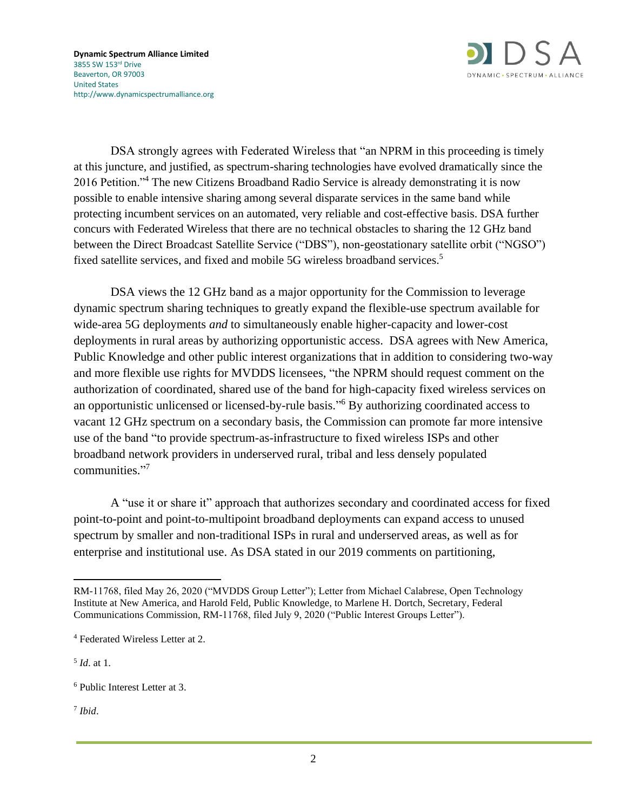

DSA strongly agrees with Federated Wireless that "an NPRM in this proceeding is timely at this juncture, and justified, as spectrum-sharing technologies have evolved dramatically since the 2016 Petition."<sup>4</sup> The new Citizens Broadband Radio Service is already demonstrating it is now possible to enable intensive sharing among several disparate services in the same band while protecting incumbent services on an automated, very reliable and cost-effective basis. DSA further concurs with Federated Wireless that there are no technical obstacles to sharing the 12 GHz band between the Direct Broadcast Satellite Service ("DBS"), non-geostationary satellite orbit ("NGSO") fixed satellite services, and fixed and mobile 5G wireless broadband services.<sup>5</sup>

DSA views the 12 GHz band as a major opportunity for the Commission to leverage dynamic spectrum sharing techniques to greatly expand the flexible-use spectrum available for wide-area 5G deployments *and* to simultaneously enable higher-capacity and lower-cost deployments in rural areas by authorizing opportunistic access. DSA agrees with New America, Public Knowledge and other public interest organizations that in addition to considering two-way and more flexible use rights for MVDDS licensees, "the NPRM should request comment on the authorization of coordinated, shared use of the band for high-capacity fixed wireless services on an opportunistic unlicensed or licensed-by-rule basis." <sup>6</sup> By authorizing coordinated access to vacant 12 GHz spectrum on a secondary basis, the Commission can promote far more intensive use of the band "to provide spectrum-as-infrastructure to fixed wireless ISPs and other broadband network providers in underserved rural, tribal and less densely populated communities." 7

A "use it or share it" approach that authorizes secondary and coordinated access for fixed point-to-point and point-to-multipoint broadband deployments can expand access to unused spectrum by smaller and non-traditional ISPs in rural and underserved areas, as well as for enterprise and institutional use. As DSA stated in our 2019 comments on partitioning,

5 *Id*. at 1.

7 *Ibid*.

RM-11768, filed May 26, 2020 ("MVDDS Group Letter"); Letter from Michael Calabrese, Open Technology Institute at New America, and Harold Feld, Public Knowledge, to Marlene H. Dortch, Secretary, Federal Communications Commission, RM-11768, filed July 9, 2020 ("Public Interest Groups Letter").

<sup>4</sup> Federated Wireless Letter at 2.

<sup>6</sup> Public Interest Letter at 3.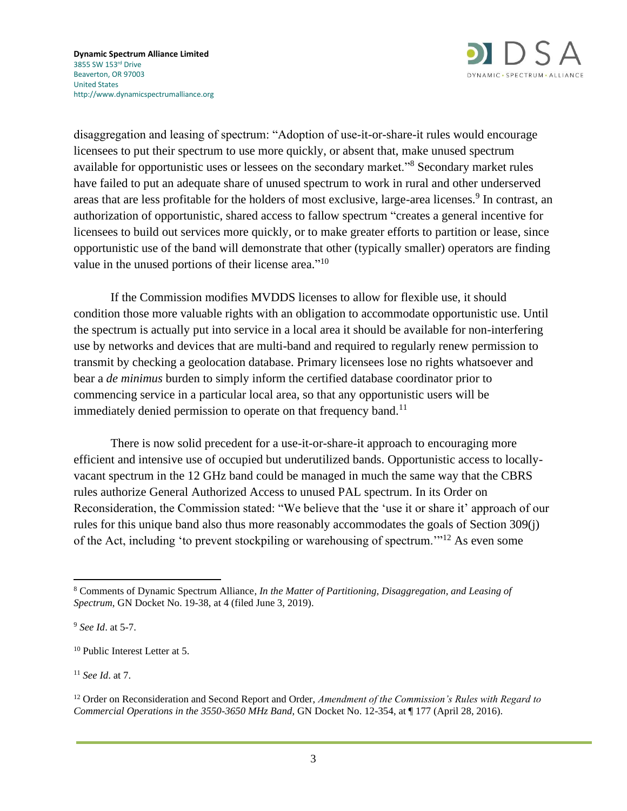

disaggregation and leasing of spectrum: "Adoption of use-it-or-share-it rules would encourage licensees to put their spectrum to use more quickly, or absent that, make unused spectrum available for opportunistic uses or lessees on the secondary market."<sup>8</sup> Secondary market rules have failed to put an adequate share of unused spectrum to work in rural and other underserved areas that are less profitable for the holders of most exclusive, large-area licenses.<sup>9</sup> In contrast, an authorization of opportunistic, shared access to fallow spectrum "creates a general incentive for licensees to build out services more quickly, or to make greater efforts to partition or lease, since opportunistic use of the band will demonstrate that other (typically smaller) operators are finding value in the unused portions of their license area."<sup>10</sup>

If the Commission modifies MVDDS licenses to allow for flexible use, it should condition those more valuable rights with an obligation to accommodate opportunistic use. Until the spectrum is actually put into service in a local area it should be available for non-interfering use by networks and devices that are multi-band and required to regularly renew permission to transmit by checking a geolocation database. Primary licensees lose no rights whatsoever and bear a *de minimus* burden to simply inform the certified database coordinator prior to commencing service in a particular local area, so that any opportunistic users will be immediately denied permission to operate on that frequency band.<sup>11</sup>

There is now solid precedent for a use-it-or-share-it approach to encouraging more efficient and intensive use of occupied but underutilized bands. Opportunistic access to locallyvacant spectrum in the 12 GHz band could be managed in much the same way that the CBRS rules authorize General Authorized Access to unused PAL spectrum. In its Order on Reconsideration, the Commission stated: "We believe that the 'use it or share it' approach of our rules for this unique band also thus more reasonably accommodates the goals of Section 309(j) of the Act, including 'to prevent stockpiling or warehousing of spectrum.'"<sup>12</sup> As even some

<sup>11</sup> *See Id*. at 7.

<sup>8</sup> Comments of Dynamic Spectrum Alliance, *In the Matter of Partitioning, Disaggregation, and Leasing of Spectrum*, GN Docket No. 19-38, at 4 (filed June 3, 2019).

<sup>9</sup> *See Id*. at 5-7.

<sup>10</sup> Public Interest Letter at 5.

<sup>12</sup> Order on Reconsideration and Second Report and Order, *Amendment of the Commission's Rules with Regard to Commercial Operations in the 3550-3650 MHz Band*, GN Docket No. 12-354, at ¶ 177 (April 28, 2016).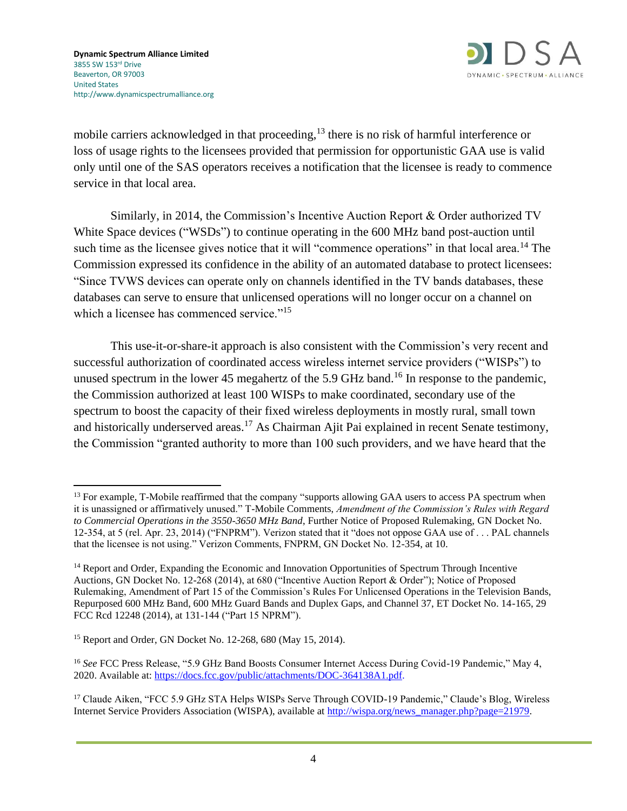

mobile carriers acknowledged in that proceeding,<sup>13</sup> there is no risk of harmful interference or loss of usage rights to the licensees provided that permission for opportunistic GAA use is valid only until one of the SAS operators receives a notification that the licensee is ready to commence service in that local area.

Similarly, in 2014, the Commission's Incentive Auction Report & Order authorized TV White Space devices ("WSDs") to continue operating in the 600 MHz band post-auction until such time as the licensee gives notice that it will "commence operations" in that local area.<sup>14</sup> The Commission expressed its confidence in the ability of an automated database to protect licensees: "Since TVWS devices can operate only on channels identified in the TV bands databases, these databases can serve to ensure that unlicensed operations will no longer occur on a channel on which a licensee has commenced service."<sup>15</sup>

This use-it-or-share-it approach is also consistent with the Commission's very recent and successful authorization of coordinated access wireless internet service providers ("WISPs") to unused spectrum in the lower 45 megahertz of the 5.9 GHz band.<sup>16</sup> In response to the pandemic, the Commission authorized at least 100 WISPs to make coordinated, secondary use of the spectrum to boost the capacity of their fixed wireless deployments in mostly rural, small town and historically underserved areas.<sup>17</sup> As Chairman Ajit Pai explained in recent Senate testimony, the Commission "granted authority to more than 100 such providers, and we have heard that the

<sup>&</sup>lt;sup>13</sup> For example, T-Mobile reaffirmed that the company "supports allowing GAA users to access PA spectrum when it is unassigned or affirmatively unused." T-Mobile Comments, *Amendment of the Commission's Rules with Regard to Commercial Operations in the 3550-3650 MHz Band*, Further Notice of Proposed Rulemaking, GN Docket No. 12-354, at 5 (rel. Apr. 23, 2014) ("FNPRM"). Verizon stated that it "does not oppose GAA use of . . . PAL channels that the licensee is not using." Verizon Comments, FNPRM, GN Docket No. 12-354, at 10.

<sup>&</sup>lt;sup>14</sup> Report and Order, Expanding the Economic and Innovation Opportunities of Spectrum Through Incentive Auctions, GN Docket No. 12-268 (2014), at 680 ("Incentive Auction Report & Order"); Notice of Proposed Rulemaking, Amendment of Part 15 of the Commission's Rules For Unlicensed Operations in the Television Bands, Repurposed 600 MHz Band, 600 MHz Guard Bands and Duplex Gaps, and Channel 37, ET Docket No. 14-165, 29 FCC Rcd 12248 (2014), at 131-144 ("Part 15 NPRM").

<sup>15</sup> Report and Order, GN Docket No. 12-268, 680 (May 15, 2014).

<sup>16</sup> *See* FCC Press Release, "5.9 GHz Band Boosts Consumer Internet Access During Covid-19 Pandemic," May 4, 2020. Available at: [https://docs.fcc.gov/public/attachments/DOC-364138A1.pdf.](https://docs.fcc.gov/public/attachments/DOC-364138A1.pdf)

<sup>&</sup>lt;sup>17</sup> Claude Aiken, "FCC 5.9 GHz STA Helps WISPs Serve Through COVID-19 Pandemic," Claude's Blog, Wireless Internet Service Providers Association (WISPA), available at [http://wispa.org/news\\_manager.php?page=21979.](http://wispa.org/news_manager.php?page=21979)